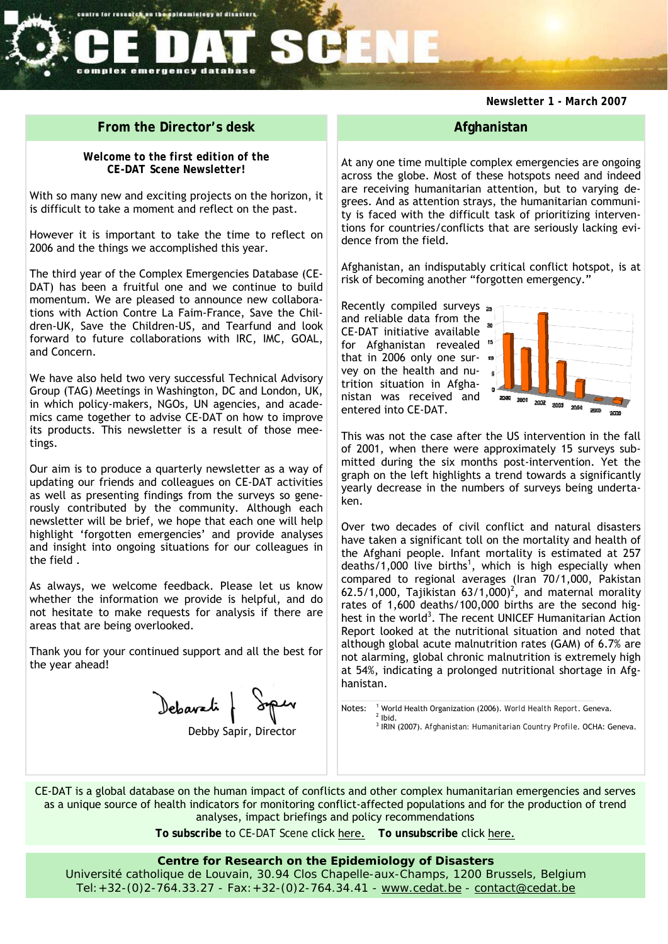## *Newsletter 1 - March 2007*

# **From the Director's desk**

centre for research on the spidemiology of disasters

complex emergency database

*Welcome to the first edition of the CE-DAT Scene Newsletter!* 

With so many new and exciting projects on the horizon, it is difficult to take a moment and reflect on the past.

However it is important to take the time to reflect on 2006 and the things we accomplished this year.

The third year of the Complex Emergencies Database (CE-DAT) has been a fruitful one and we continue to build momentum. We are pleased to announce new collaborations with Action Contre La Faim-France, Save the Children-UK, Save the Children-US, and Tearfund and look forward to future collaborations with IRC, IMC, GOAL, and Concern.

We have also held two very successful Technical Advisory Group (TAG) Meetings in Washington, DC and London, UK, in which policy-makers, NGOs, UN agencies, and academics came together to advise CE-DAT on how to improve its products. This newsletter is a result of those meetings.

Our aim is to produce a quarterly newsletter as a way of updating our friends and colleagues on CE-DAT activities as well as presenting findings from the surveys so generously contributed by the community. Although each newsletter will be brief, we hope that each one will help highlight 'forgotten emergencies' and provide analyses and insight into ongoing situations for our colleagues in the field .

As always, we welcome feedback. Please let us know whether the information we provide is helpful, and do not hesitate to make requests for analysis if there are areas that are being overlooked.

Thank you for your continued support and all the best for the year ahead!

Deparati

Debby Sapir, Director

# **Afghanistan**

At any one time multiple complex emergencies are ongoing across the globe. Most of these hotspots need and indeed are receiving humanitarian attention, but to varying degrees. And as attention strays, the humanitarian community is faced with the difficult task of prioritizing interventions for countries/conflicts that are seriously lacking evidence from the field.

Afghanistan, an indisputably critical conflict hotspot, is at risk of becoming another "forgotten emergency."

Recently compiled surveys and reliable data from the  $\frac{1}{x}$ CE-DAT initiative available for Afghanistan revealed that in 2006 only one survey on the health and nutrition situation in Afghanistan was received and entered into CE-DAT.



This was not the case after the US intervention in the fall of 2001, when there were approximately 15 surveys submitted during the six months post-intervention. Yet the graph on the left highlights a trend towards a significantly yearly decrease in the numbers of surveys being undertaken.

Over two decades of civil conflict and natural disasters have taken a significant toll on the mortality and health of the Afghani people. Infant mortality is estimated at 257  $deaths/1,000$  live births<sup>1</sup>, which is high especially when compared to regional averages (Iran 70/1,000, Pakistan 62.5/1,000, Tajikistan  $63/1,000)^2$ , and maternal morality rates of 1,600 deaths/100,000 births are the second highest in the world<sup>3</sup>. The recent UNICEF Humanitarian Action Report looked at the nutritional situation and noted that although global acute malnutrition rates (GAM) of 6.7% are not alarming, global chronic malnutrition is extremely high at 54%, indicating a prolonged nutritional shortage in Afghanistan.

Notes:  $\frac{1}{2}$  World Health Organization (2006). *World Health Report*. Geneva. <sup>3</sup> IRIN (2007). *Afghanistan: Humanitarian Country Profile*. OCHA: Geneva.

CE-DAT is a global database on the human impact of conflicts and other complex humanitarian emergencies and serves as a unique source of health indicators for monitoring conflict-affected populations and for the production of trend analyses, impact briefings and policy recommendations

**To subscribe** to *CE-DAT Scene* click here. **To unsubscribe** click here.

## **Centre for Research on the Epidemiology of Disasters**

Université catholique de Louvain, 30.94 Clos Chapelle-aux-Champs, 1200 Brussels, Belgium Tel:+32-(0)2-764.33.27 - Fax:+32-(0)2-764.34.41 - www.cedat.be - contact@cedat.be